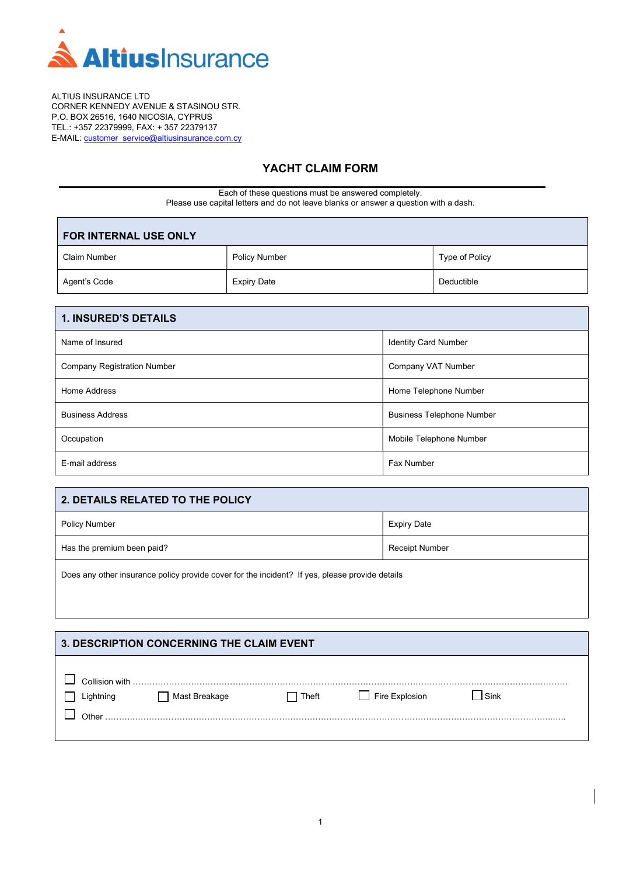

ALTIUS INSURANCE LTD CORNER KENNEDY AVENUE & STASINOU STR. P.O. BOX 26516, 1640 NICOSIA, CYPRUS TEL.: +357 22379999, FAX: + 357 22379137 E-MAIL: customer\_service@altiusinsurance.com.cy

L

# YACHT CLAIM FORM

Each of these questions must be answered completely. Please use capital letters and do not leave blanks or answer a question with a dash.

| <b>FOR INTERNAL USE ONLY</b> |                      |                |  |
|------------------------------|----------------------|----------------|--|
| Claim Number                 | <b>Policy Number</b> | Type of Policy |  |
| Agent's Code                 | <b>Expiry Date</b>   | Deductible     |  |

| <b>1. INSURED'S DETAILS</b>        |                                  |
|------------------------------------|----------------------------------|
| Name of Insured                    | <b>Identity Card Number</b>      |
| <b>Company Registration Number</b> | Company VAT Number               |
| Home Address                       | Home Telephone Number            |
| <b>Business Address</b>            | <b>Business Telephone Number</b> |
| Occupation                         | Mobile Telephone Number          |
| E-mail address                     | Fax Number                       |

| 2. DETAILS RELATED TO THE POLICY |                       |  |
|----------------------------------|-----------------------|--|
| <b>Policy Number</b>             | <b>Expiry Date</b>    |  |
| Has the premium been paid?       | <b>Receipt Number</b> |  |
|                                  |                       |  |

Does any other insurance policy provide cover for the incident? If yes, please provide details

| 3. DESCRIPTION CONCERNING THE CLAIM EVENT |               |       |                |             |  |
|-------------------------------------------|---------------|-------|----------------|-------------|--|
| Collision with<br>Lightning<br>Other      | Mast Breakage | Theft | Fire Explosion | <b>Sink</b> |  |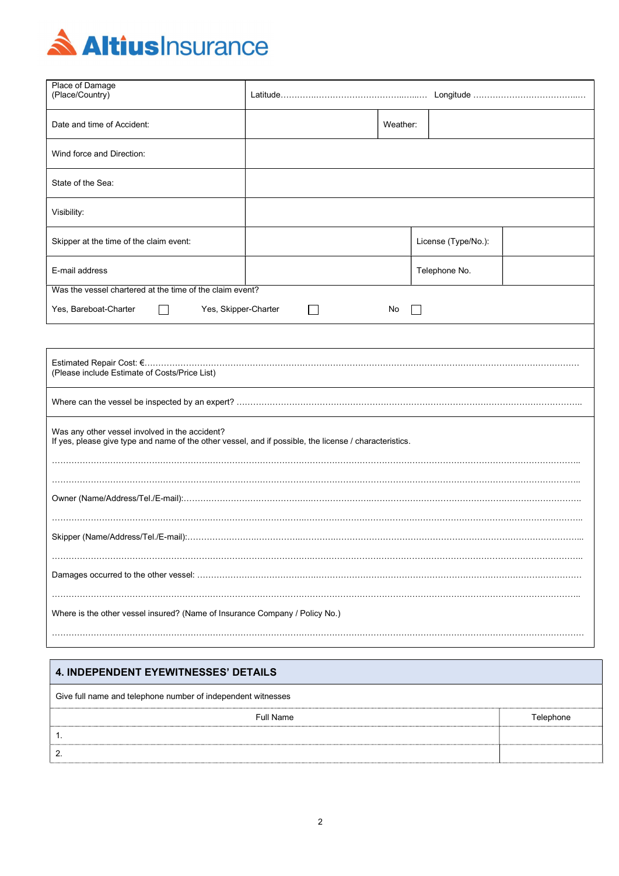

| Place of Damage<br>(Place/Country)                                                                                                                       |                            |          |                     |  |
|----------------------------------------------------------------------------------------------------------------------------------------------------------|----------------------------|----------|---------------------|--|
| Date and time of Accident:                                                                                                                               |                            | Weather: |                     |  |
| Wind force and Direction:                                                                                                                                |                            |          |                     |  |
| State of the Sea:                                                                                                                                        |                            |          |                     |  |
| Visibility:                                                                                                                                              |                            |          |                     |  |
| Skipper at the time of the claim event:                                                                                                                  |                            |          | License (Type/No.): |  |
| E-mail address                                                                                                                                           |                            |          | Telephone No.       |  |
| Was the vessel chartered at the time of the claim event?                                                                                                 |                            |          |                     |  |
| Yes, Bareboat-Charter                                                                                                                                    | Yes, Skipper-Charter<br>No |          |                     |  |
|                                                                                                                                                          |                            |          |                     |  |
| (Please include Estimate of Costs/Price List)                                                                                                            |                            |          |                     |  |
|                                                                                                                                                          |                            |          |                     |  |
| Was any other vessel involved in the accident?<br>If yes, please give type and name of the other vessel, and if possible, the license / characteristics. |                            |          |                     |  |
|                                                                                                                                                          |                            |          |                     |  |
|                                                                                                                                                          |                            |          |                     |  |
|                                                                                                                                                          |                            |          |                     |  |
|                                                                                                                                                          |                            |          |                     |  |
| Where is the other vessel insured? (Name of Insurance Company / Policy No.)                                                                              |                            |          |                     |  |
|                                                                                                                                                          |                            |          |                     |  |

# 4. INDEPENDENT EYEWITNESSES' DETAILS

| Give full name and telephone number of independent witnesses |           |  |  |  |
|--------------------------------------------------------------|-----------|--|--|--|
| Full Name                                                    | Telephone |  |  |  |
|                                                              |           |  |  |  |
|                                                              |           |  |  |  |
|                                                              |           |  |  |  |